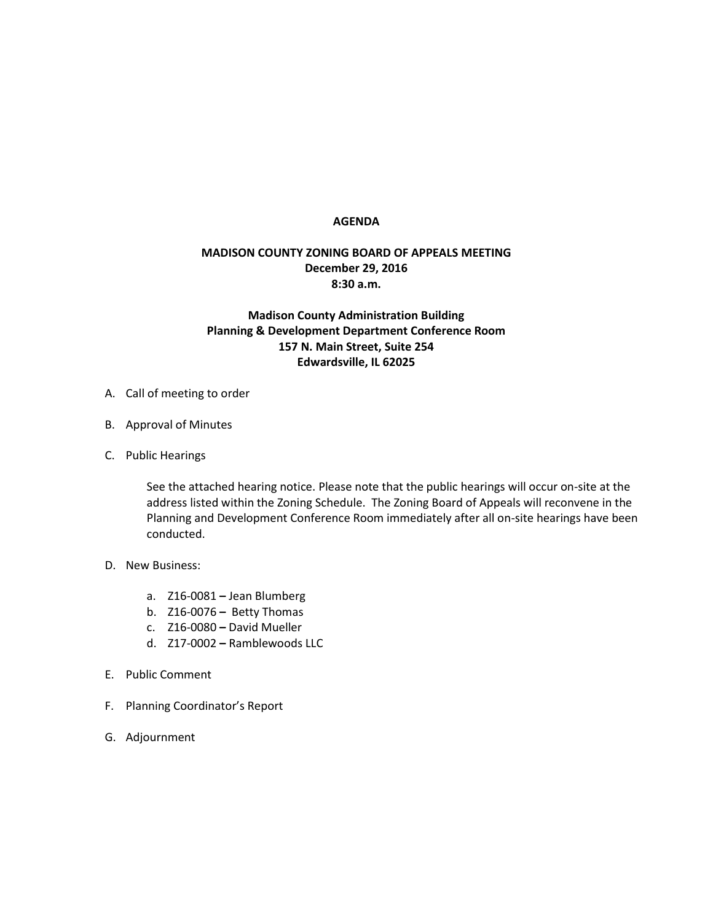## **AGENDA**

## **MADISON COUNTY ZONING BOARD OF APPEALS MEETING December 29, 2016 8:30 a.m.**

## **Madison County Administration Building Planning & Development Department Conference Room 157 N. Main Street, Suite 254 Edwardsville, IL 62025**

- A. Call of meeting to order
- B. Approval of Minutes
- C. Public Hearings

See the attached hearing notice. Please note that the public hearings will occur on-site at the address listed within the Zoning Schedule. The Zoning Board of Appeals will reconvene in the Planning and Development Conference Room immediately after all on-site hearings have been conducted.

- D. New Business:
	- a. Z16-0081 **–** Jean Blumberg
	- b. Z16-0076 **–** Betty Thomas
	- c. Z16-0080 **–** David Mueller
	- d. Z17-0002 **–** Ramblewoods LLC
- E. Public Comment
- F. Planning Coordinator's Report
- G. Adjournment